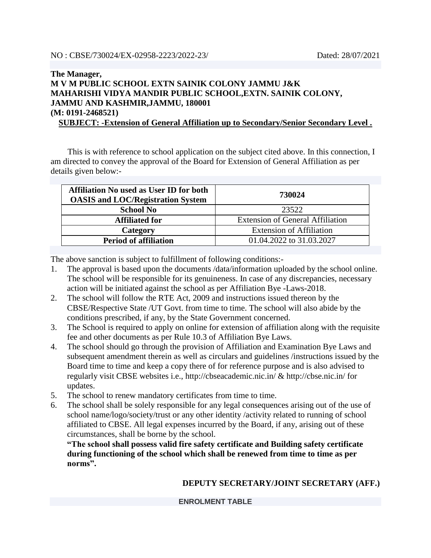## **The Manager, M V M PUBLIC SCHOOL EXTN SAINIK COLONY JAMMU J&K MAHARISHI VIDYA MANDIR PUBLIC SCHOOL,EXTN. SAINIK COLONY, JAMMU AND KASHMIR,JAMMU, 180001 (M: 0191-2468521)**

**SUBJECT: -Extension of General Affiliation up to Secondary/Senior Secondary Level .**

 This is with reference to school application on the subject cited above. In this connection, I am directed to convey the approval of the Board for Extension of General Affiliation as per details given below:-

| <b>Affiliation No used as User ID for both</b><br><b>OASIS and LOC/Registration System</b> | 730024                                  |  |
|--------------------------------------------------------------------------------------------|-----------------------------------------|--|
| <b>School No</b>                                                                           | 23522                                   |  |
| <b>Affiliated for</b>                                                                      | <b>Extension of General Affiliation</b> |  |
| Category                                                                                   | <b>Extension of Affiliation</b>         |  |
| <b>Period of affiliation</b>                                                               | 01.04.2022 to 31.03.2027                |  |

The above sanction is subject to fulfillment of following conditions:-

- 1. The approval is based upon the documents /data/information uploaded by the school online. The school will be responsible for its genuineness. In case of any discrepancies, necessary action will be initiated against the school as per Affiliation Bye -Laws-2018.
- 2. The school will follow the RTE Act, 2009 and instructions issued thereon by the CBSE/Respective State /UT Govt. from time to time. The school will also abide by the conditions prescribed, if any, by the State Government concerned.
- 3. The School is required to apply on online for extension of affiliation along with the requisite fee and other documents as per Rule 10.3 of Affiliation Bye Laws.
- 4. The school should go through the provision of Affiliation and Examination Bye Laws and subsequent amendment therein as well as circulars and guidelines /instructions issued by the Board time to time and keep a copy there of for reference purpose and is also advised to regularly visit CBSE websites i.e., http://cbseacademic.nic.in/ & http://cbse.nic.in/ for updates.
- 5. The school to renew mandatory certificates from time to time.
- 6. The school shall be solely responsible for any legal consequences arising out of the use of school name/logo/society/trust or any other identity /activity related to running of school affiliated to CBSE. All legal expenses incurred by the Board, if any, arising out of these circumstances, shall be borne by the school.

**"The school shall possess valid fire safety certificate and Building safety certificate during functioning of the school which shall be renewed from time to time as per norms".**

## **DEPUTY SECRETARY/JOINT SECRETARY (AFF.)**

**ENROLMENT TABLE**